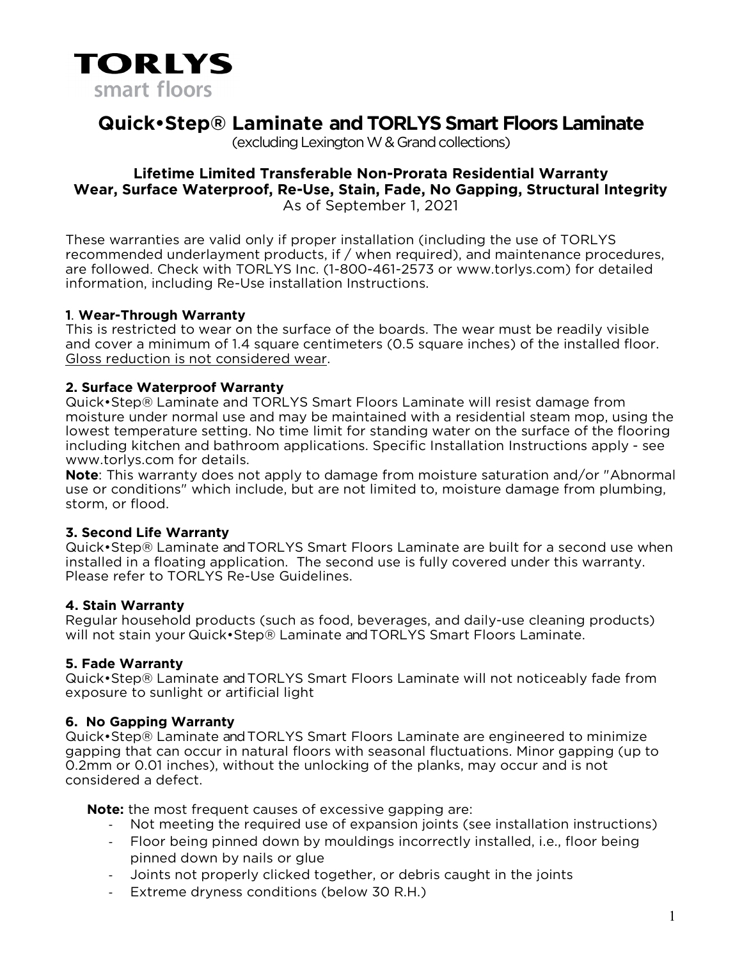

# **Quick•Step® Laminate and TORLYS Smart Floors Laminate**

(excluding Lexington W & Grand collections)

# **Lifetime Limited Transferable Non-Prorata Residential Warranty Wear, Surface Waterproof, Re-Use, Stain, Fade, No Gapping, Structural Integrity** As of September 1, 2021

These warranties are valid only if proper installation (including the use of TORLYS recommended underlayment products, if / when required), and maintenance procedures, are followed. Check with TORLYS Inc. (1-800-461-2573 or www.torlys.com) for detailed information, including Re-Use installation Instructions.

# **1**. **Wear-Through Warranty**

This is restricted to wear on the surface of the boards. The wear must be readily visible and cover a minimum of 1.4 square centimeters (0.5 square inches) of the installed floor. Gloss reduction is not considered wear.

# **2. Surface Waterproof Warranty**

Quick•Step® Laminate and TORLYS Smart Floors Laminate will resist damage from moisture under normal use and may be maintained with a residential steam mop, using the lowest temperature setting. No time limit for standing water on the surface of the flooring including kitchen and bathroom applications. Specific Installation Instructions apply - see www.torlys.com for details.

**Note**: This warranty does not apply to damage from moisture saturation and/or "Abnormal use or conditions" which include, but are not limited to, moisture damage from plumbing, storm, or flood.

## **3. Second Life Warranty**

Quick•Step® Laminate and TORLYS Smart Floors Laminate are built for a second use when installed in a floating application. The second use is fully covered under this warranty. Please refer to TORLYS Re-Use Guidelines.

## **4. Stain Warranty**

Regular household products (such as food, beverages, and daily-use cleaning products) will not stain your Quick•Step® Laminate and TORLYS Smart Floors Laminate.

# **5. Fade Warranty**

Quick•Step® Laminate and TORLYS Smart Floors Laminate will not noticeably fade from exposure to sunlight or artificial light

## **6. No Gapping Warranty**

Quick•Step® Laminate and TORLYS Smart Floors Laminate are engineered to minimize gapping that can occur in natural floors with seasonal fluctuations. Minor gapping (up to 0.2mm or 0.01 inches), without the unlocking of the planks, may occur and is not considered a defect.

**Note:** the most frequent causes of excessive gapping are:

- Not meeting the required use of expansion joints (see installation instructions)
- Floor being pinned down by mouldings incorrectly installed, i.e., floor being pinned down by nails or glue
- Joints not properly clicked together, or debris caught in the joints
- Extreme dryness conditions (below 30 R.H.)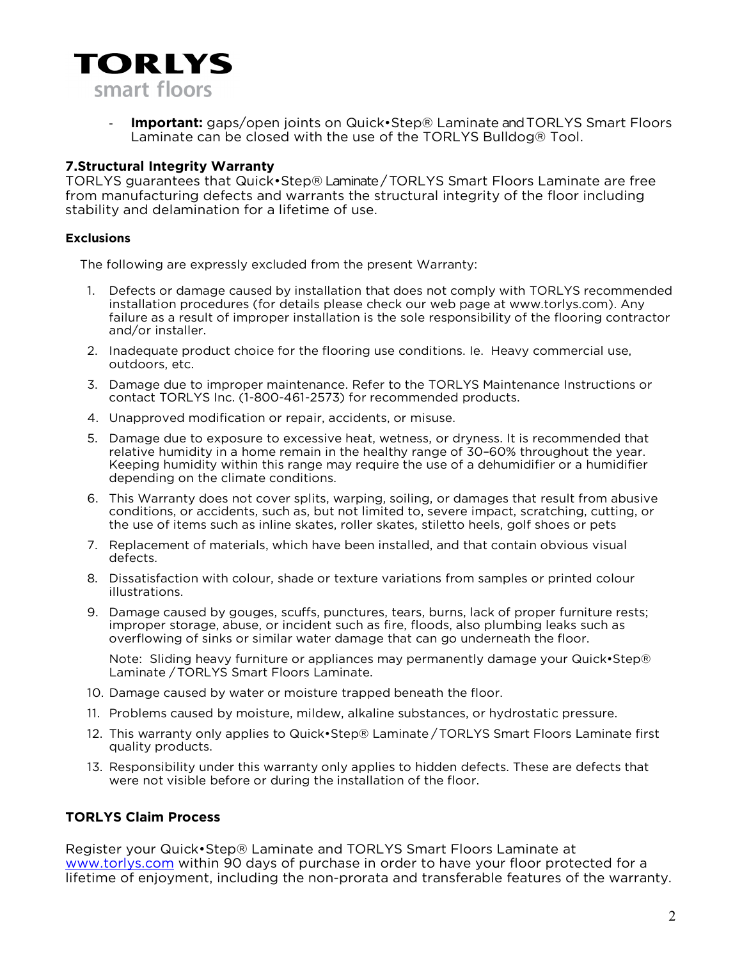

**Important:** gaps/open joints on Quick•Step® Laminate and TORLYS Smart Floors Laminate can be closed with the use of the TORLYS Bulldog® Tool.

#### **7.Structural Integrity Warranty**

TORLYS guarantees that Quick•Step® Laminate/ TORLYS Smart Floors Laminate are free from manufacturing defects and warrants the structural integrity of the floor including stability and delamination for a lifetime of use.

#### **Exclusions**

The following are expressly excluded from the present Warranty:

- 1. Defects or damage caused by installation that does not comply with TORLYS recommended installation procedures (for details please check our web page at www.torlys.com). Any failure as a result of improper installation is the sole responsibility of the flooring contractor and/or installer.
- 2. Inadequate product choice for the flooring use conditions. Ie. Heavy commercial use, outdoors, etc.
- 3. Damage due to improper maintenance. Refer to the TORLYS Maintenance Instructions or contact TORLYS Inc. (1-800-461-2573) for recommended products.
- 4. Unapproved modification or repair, accidents, or misuse.
- 5. Damage due to exposure to excessive heat, wetness, or dryness. It is recommended that relative humidity in a home remain in the healthy range of 30–60% throughout the year. Keeping humidity within this range may require the use of a dehumidifier or a humidifier depending on the climate conditions.
- 6. This Warranty does not cover splits, warping, soiling, or damages that result from abusive conditions, or accidents, such as, but not limited to, severe impact, scratching, cutting, or the use of items such as inline skates, roller skates, stiletto heels, golf shoes or pets
- 7. Replacement of materials, which have been installed, and that contain obvious visual defects.
- 8. Dissatisfaction with colour, shade or texture variations from samples or printed colour illustrations.
- 9. Damage caused by gouges, scuffs, punctures, tears, burns, lack of proper furniture rests; improper storage, abuse, or incident such as fire, floods, also plumbing leaks such as overflowing of sinks or similar water damage that can go underneath the floor.

Note: Sliding heavy furniture or appliances may permanently damage your Quick•Step® Laminate /TORLYS Smart Floors Laminate.

- 10. Damage caused by water or moisture trapped beneath the floor.
- 11. Problems caused by moisture, mildew, alkaline substances, or hydrostatic pressure.
- 12. This warranty only applies to Quick•Step® Laminate / TORLYS Smart Floors Laminate first quality products.
- 13. Responsibility under this warranty only applies to hidden defects. These are defects that were not visible before or during the installation of the floor.

#### **TORLYS Claim Process**

Register your Quick•Step® Laminate and TORLYS Smart Floors Laminate at [www.torlys.com](http://www.torlys.com/) within 90 days of purchase in order to have your floor protected for a lifetime of enjoyment, including the non-prorata and transferable features of the warranty.